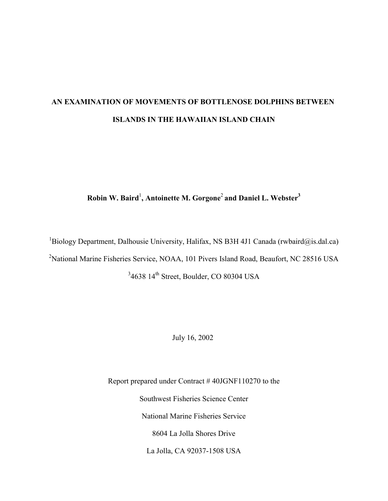# **AN EXAMINATION OF MOVEMENTS OF BOTTLENOSE DOLPHINS BETWEEN ISLANDS IN THE HAWAIIAN ISLAND CHAIN**

## **Robin W. Baird**<sup>1</sup> **, Antoinette M. Gorgone**<sup>2</sup>**and Daniel L. Webster3**

<sup>1</sup>Biology Department, Dalhousie University, Halifax, NS B3H 4J1 Canada (rwbaird@is.dal.ca) <sup>2</sup>National Marine Fisheries Service, NOAA, 101 Pivers Island Road, Beaufort, NC 28516 USA  $34638$   $14<sup>th</sup>$  Street, Boulder, CO 80304 USA

July 16, 2002

Report prepared under Contract # 40JGNF110270 to the Southwest Fisheries Science Center National Marine Fisheries Service 8604 La Jolla Shores Drive La Jolla, CA 92037-1508 USA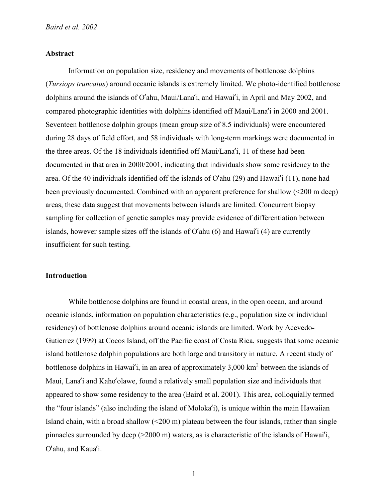#### **Abstract**

Information on population size, residency and movements of bottlenose dolphins (*Tursiops truncatus*) around oceanic islands is extremely limited. We photo-identified bottlenose dolphins around the islands of O'ahu, Maui/Lana'i, and Hawai'i, in April and May 2002, and compared photographic identities with dolphins identified off Maui/Lana'i in 2000 and 2001. Seventeen bottlenose dolphin groups (mean group size of 8.5 individuals) were encountered during 28 days of field effort, and 58 individuals with long-term markings were documented in the three areas. Of the 18 individuals identified off Maui/Lana'i, 11 of these had been documented in that area in 2000/2001, indicating that individuals show some residency to the area. Of the 40 individuals identified off the islands of O'ahu (29) and Hawai'i (11), none had been previously documented. Combined with an apparent preference for shallow (<200 m deep) areas, these data suggest that movements between islands are limited. Concurrent biopsy sampling for collection of genetic samples may provide evidence of differentiation between islands, however sample sizes off the islands of O'ahu (6) and Hawai'i (4) are currently insufficient for such testing.

### **Introduction**

While bottlenose dolphins are found in coastal areas, in the open ocean, and around oceanic islands, information on population characteristics (e.g., population size or individual residency) of bottlenose dolphins around oceanic islands are limited. Work by Acevedo**-**Gutierrez (1999) at Cocos Island, off the Pacific coast of Costa Rica, suggests that some oceanic island bottlenose dolphin populations are both large and transitory in nature. A recent study of bottlenose dolphins in Hawai'i, in an area of approximately  $3,000 \text{ km}^2$  between the islands of Maui, Lana'i and Kaho'olawe, found a relatively small population size and individuals that appeared to show some residency to the area (Baird et al. 2001). This area, colloquially termed the "four islands" (also including the island of Moloka'i), is unique within the main Hawaiian Island chain, with a broad shallow  $\left($  <200 m) plateau between the four islands, rather than single pinnacles surrounded by deep (>2000 m) waters, as is characteristic of the islands of Hawai'i, O'ahu, and Kaua'i.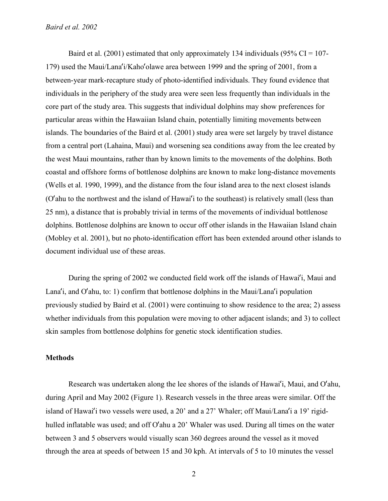Baird et al. (2001) estimated that only approximately 134 individuals (95%  $CI = 107$ -179) used the Maui/Lana'i/Kaho'olawe area between 1999 and the spring of 2001, from a between-year mark-recapture study of photo-identified individuals. They found evidence that individuals in the periphery of the study area were seen less frequently than individuals in the core part of the study area. This suggests that individual dolphins may show preferences for particular areas within the Hawaiian Island chain, potentially limiting movements between islands. The boundaries of the Baird et al. (2001) study area were set largely by travel distance from a central port (Lahaina, Maui) and worsening sea conditions away from the lee created by the west Maui mountains, rather than by known limits to the movements of the dolphins. Both coastal and offshore forms of bottlenose dolphins are known to make long-distance movements (Wells et al. 1990, 1999), and the distance from the four island area to the next closest islands (O'ahu to the northwest and the island of Hawai'i to the southeast) is relatively small (less than 25 nm), a distance that is probably trivial in terms of the movements of individual bottlenose dolphins. Bottlenose dolphins are known to occur off other islands in the Hawaiian Island chain (Mobley et al. 2001), but no photo-identification effort has been extended around other islands to document individual use of these areas.

During the spring of 2002 we conducted field work off the islands of Hawai'i, Maui and Lana'i, and O'ahu, to: 1) confirm that bottlenose dolphins in the Maui/Lana'i population previously studied by Baird et al. (2001) were continuing to show residence to the area; 2) assess whether individuals from this population were moving to other adjacent islands; and 3) to collect skin samples from bottlenose dolphins for genetic stock identification studies.

#### **Methods**

Research was undertaken along the lee shores of the islands of Hawai'i, Maui, and O'ahu, during April and May 2002 (Figure 1). Research vessels in the three areas were similar. Off the island of Hawai'i two vessels were used, a 20' and a 27' Whaler; off Maui/Lana'i a 19' rigidhulled inflatable was used; and off O'ahu a 20' Whaler was used. During all times on the water between 3 and 5 observers would visually scan 360 degrees around the vessel as it moved through the area at speeds of between 15 and 30 kph. At intervals of 5 to 10 minutes the vessel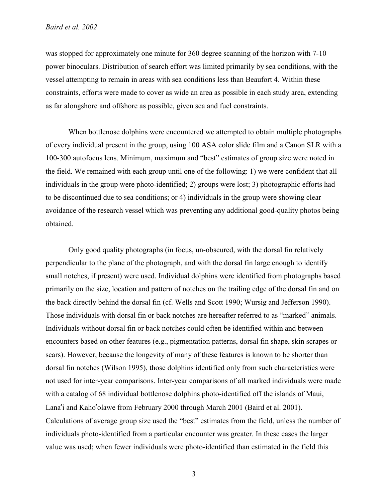was stopped for approximately one minute for 360 degree scanning of the horizon with 7-10 power binoculars. Distribution of search effort was limited primarily by sea conditions, with the vessel attempting to remain in areas with sea conditions less than Beaufort 4. Within these constraints, efforts were made to cover as wide an area as possible in each study area, extending as far alongshore and offshore as possible, given sea and fuel constraints.

When bottlenose dolphins were encountered we attempted to obtain multiple photographs of every individual present in the group, using 100 ASA color slide film and a Canon SLR with a 100-300 autofocus lens. Minimum, maximum and "best" estimates of group size were noted in the field. We remained with each group until one of the following: 1) we were confident that all individuals in the group were photo-identified; 2) groups were lost; 3) photographic efforts had to be discontinued due to sea conditions; or 4) individuals in the group were showing clear avoidance of the research vessel which was preventing any additional good-quality photos being obtained.

Only good quality photographs (in focus, un-obscured, with the dorsal fin relatively perpendicular to the plane of the photograph, and with the dorsal fin large enough to identify small notches, if present) were used. Individual dolphins were identified from photographs based primarily on the size, location and pattern of notches on the trailing edge of the dorsal fin and on the back directly behind the dorsal fin (cf. Wells and Scott 1990; Wursig and Jefferson 1990). Those individuals with dorsal fin or back notches are hereafter referred to as "marked" animals. Individuals without dorsal fin or back notches could often be identified within and between encounters based on other features (e.g., pigmentation patterns, dorsal fin shape, skin scrapes or scars). However, because the longevity of many of these features is known to be shorter than dorsal fin notches (Wilson 1995), those dolphins identified only from such characteristics were not used for inter-year comparisons. Inter-year comparisons of all marked individuals were made with a catalog of 68 individual bottlenose dolphins photo-identified off the islands of Maui, Lana'i and Kaho'olawe from February 2000 through March 2001 (Baird et al. 2001). Calculations of average group size used the "best" estimates from the field, unless the number of individuals photo-identified from a particular encounter was greater. In these cases the larger value was used; when fewer individuals were photo-identified than estimated in the field this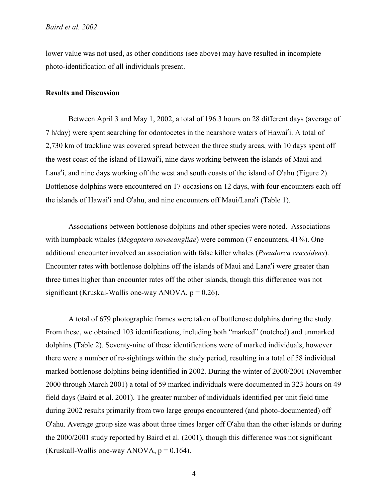lower value was not used, as other conditions (see above) may have resulted in incomplete photo-identification of all individuals present.

#### **Results and Discussion**

Between April 3 and May 1, 2002, a total of 196.3 hours on 28 different days (average of 7 h/day) were spent searching for odontocetes in the nearshore waters of Hawai'i. A total of 2,730 km of trackline was covered spread between the three study areas, with 10 days spent off the west coast of the island of Hawai'i, nine days working between the islands of Maui and Lana'i, and nine days working off the west and south coasts of the island of O'ahu (Figure 2). Bottlenose dolphins were encountered on 17 occasions on 12 days, with four encounters each off the islands of Hawai'i and O'ahu, and nine encounters off Maui/Lana'i (Table 1).

Associations between bottlenose dolphins and other species were noted. Associations with humpback whales (*Megaptera novaeangliae*) were common (7 encounters, 41%). One additional encounter involved an association with false killer whales (*Pseudorca crassidens*). Encounter rates with bottlenose dolphins off the islands of Maui and Lana'i were greater than three times higher than encounter rates off the other islands, though this difference was not significant (Kruskal-Wallis one-way ANOVA,  $p = 0.26$ ).

A total of 679 photographic frames were taken of bottlenose dolphins during the study. From these, we obtained 103 identifications, including both "marked" (notched) and unmarked dolphins (Table 2). Seventy-nine of these identifications were of marked individuals, however there were a number of re-sightings within the study period, resulting in a total of 58 individual marked bottlenose dolphins being identified in 2002. During the winter of 2000/2001 (November 2000 through March 2001) a total of 59 marked individuals were documented in 323 hours on 49 field days (Baird et al. 2001). The greater number of individuals identified per unit field time during 2002 results primarily from two large groups encountered (and photo-documented) off O'ahu. Average group size was about three times larger off O'ahu than the other islands or during the 2000/2001 study reported by Baird et al. (2001), though this difference was not significant (Kruskall-Wallis one-way ANOVA,  $p = 0.164$ ).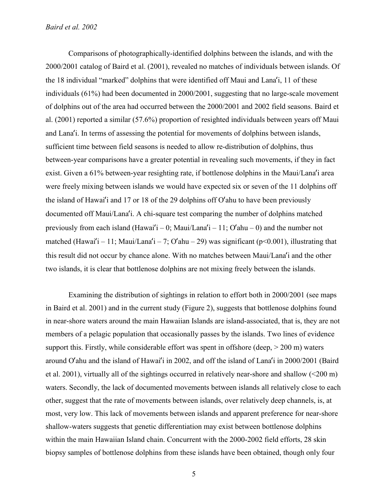#### *Baird et al. 2002*

Comparisons of photographically-identified dolphins between the islands, and with the 2000/2001 catalog of Baird et al. (2001), revealed no matches of individuals between islands. Of the 18 individual "marked" dolphins that were identified off Maui and Lana'i, 11 of these individuals (61%) had been documented in 2000/2001, suggesting that no large-scale movement of dolphins out of the area had occurred between the 2000/2001 and 2002 field seasons. Baird et al. (2001) reported a similar (57.6%) proportion of resighted individuals between years off Maui and Lana'i. In terms of assessing the potential for movements of dolphins between islands, sufficient time between field seasons is needed to allow re-distribution of dolphins, thus between-year comparisons have a greater potential in revealing such movements, if they in fact exist. Given a 61% between-year resighting rate, if bottlenose dolphins in the Maui/Lana'i area were freely mixing between islands we would have expected six or seven of the 11 dolphins off the island of Hawai'i and 17 or 18 of the 29 dolphins off O'ahu to have been previously documented off Maui/Lana'i. A chi-square test comparing the number of dolphins matched previously from each island (Hawai'i – 0; Maui/Lana'i – 11;  $O'$  ahu – 0) and the number not matched (Hawai'i – 11; Maui/Lana'i – 7; O'ahu – 29) was significant ( $p \le 0.001$ ), illustrating that this result did not occur by chance alone. With no matches between Maui/Lana'i and the other two islands, it is clear that bottlenose dolphins are not mixing freely between the islands.

Examining the distribution of sightings in relation to effort both in 2000/2001 (see maps in Baird et al. 2001) and in the current study (Figure 2), suggests that bottlenose dolphins found in near-shore waters around the main Hawaiian Islands are island-associated, that is, they are not members of a pelagic population that occasionally passes by the islands. Two lines of evidence support this. Firstly, while considerable effort was spent in offshore (deep,  $> 200$  m) waters around O'ahu and the island of Hawai'i in 2002, and off the island of Lana'i in 2000/2001 (Baird et al. 2001), virtually all of the sightings occurred in relatively near-shore and shallow (<200 m) waters. Secondly, the lack of documented movements between islands all relatively close to each other, suggest that the rate of movements between islands, over relatively deep channels, is, at most, very low. This lack of movements between islands and apparent preference for near-shore shallow-waters suggests that genetic differentiation may exist between bottlenose dolphins within the main Hawaiian Island chain. Concurrent with the 2000-2002 field efforts, 28 skin biopsy samples of bottlenose dolphins from these islands have been obtained, though only four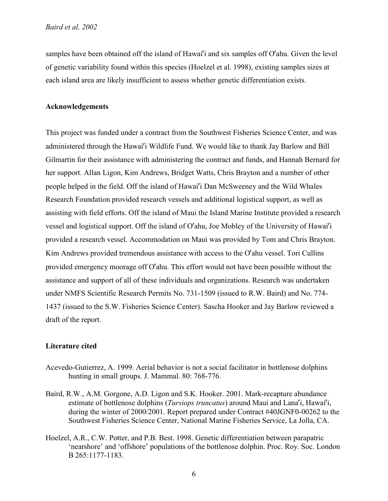samples have been obtained off the island of Hawai'i and six samples off O'ahu. Given the level of genetic variability found within this species (Hoelzel et al. 1998), existing samples sizes at each island area are likely insufficient to assess whether genetic differentiation exists.

#### **Acknowledgements**

This project was funded under a contract from the Southwest Fisheries Science Center, and was administered through the Hawai'i Wildlife Fund. We would like to thank Jay Barlow and Bill Gilmartin for their assistance with administering the contract and funds, and Hannah Bernard for her support. Allan Ligon, Kim Andrews, Bridget Watts, Chris Brayton and a number of other people helped in the field. Off the island of Hawai'i Dan McSweeney and the Wild Whales Research Foundation provided research vessels and additional logistical support, as well as assisting with field efforts. Off the island of Maui the Island Marine Institute provided a research vessel and logistical support. Off the island of O'ahu, Joe Mobley of the University of Hawai'i provided a research vessel. Accommodation on Maui was provided by Tom and Chris Brayton. Kim Andrews provided tremendous assistance with access to the O'ahu vessel. Tori Cullins provided emergency moorage off O'ahu. This effort would not have been possible without the assistance and support of all of these individuals and organizations. Research was undertaken under NMFS Scientific Research Permits No. 731-1509 (issued to R.W. Baird) and No. 774- 1437 (issued to the S.W. Fisheries Science Center). Sascha Hooker and Jay Barlow reviewed a draft of the report.

#### **Literature cited**

- Acevedo-Gutierrez, A. 1999. Aerial behavior is not a social facilitator in bottlenose dolphins hunting in small groups. J. Mammal. 80: 768-776.
- Baird, R.W., A.M. Gorgone, A.D. Ligon and S.K. Hooker. 2001. Mark-recapture abundance estimate of bottlenose dolphins (*Tursiops truncatus*) around Maui and Lana'i, Hawai'i, during the winter of 2000/2001. Report prepared under Contract #40JGNF0-00262 to the Southwest Fisheries Science Center, National Marine Fisheries Service, La Jolla, CA.
- Hoelzel, A.R., C.W. Potter, and P.B. Best. 1998. Genetic differentiation between parapatric 'nearshore' and 'offshore' populations of the bottlenose dolphin. Proc. Roy. Soc. London B 265:1177-1183.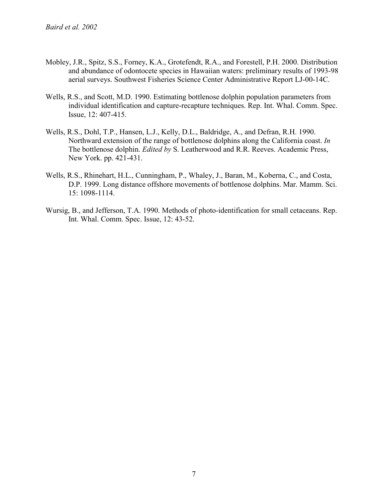- Mobley, J.R., Spitz, S.S., Forney, K.A., Grotefendt, R.A., and Forestell, P.H. 2000. Distribution and abundance of odontocete species in Hawaiian waters: preliminary results of 1993-98 aerial surveys. Southwest Fisheries Science Center Administrative Report LJ-00-14C.
- Wells, R.S., and Scott, M.D. 1990. Estimating bottlenose dolphin population parameters from individual identification and capture-recapture techniques. Rep. Int. Whal. Comm. Spec. Issue, 12: 407-415.
- Wells, R.S., Dohl, T.P., Hansen, L.J., Kelly, D.L., Baldridge, A., and Defran, R.H. 1990. Northward extension of the range of bottlenose dolphins along the California coast. *In* The bottlenose dolphin. *Edited by* S. Leatherwood and R.R. Reeves. Academic Press, New York. pp. 421-431.
- Wells, R.S., Rhinehart, H.L., Cunningham, P., Whaley, J., Baran, M., Koberna, C., and Costa, D.P. 1999. Long distance offshore movements of bottlenose dolphins. Mar. Mamm. Sci. 15: 1098-1114.
- Wursig, B., and Jefferson, T.A. 1990. Methods of photo-identification for small cetaceans. Rep. Int. Whal. Comm. Spec. Issue, 12: 43-52.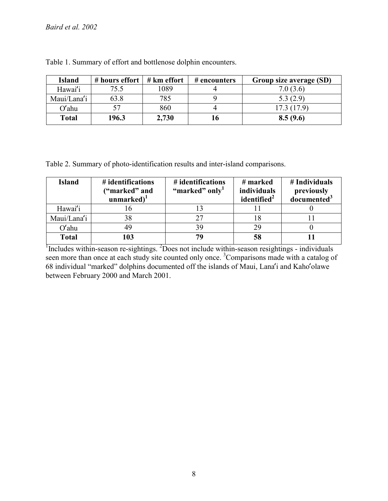| <b>Island</b> | # hours effort $\vert$ # km effort |       | # encounters | Group size average (SD) |
|---------------|------------------------------------|-------|--------------|-------------------------|
| Hawai'i       | 75.5                               | 1089  |              | 7.0(3.6)                |
| Maui/Lana'i   | 63.8                               | 785   |              | 5.3(2.9)                |
| $O'$ ahu      |                                    | 860   |              | 17.3(17.9)              |
| <b>Total</b>  | 196.3                              | 2,730 |              | 8.5(9.6)                |

Table 1. Summary of effort and bottlenose dolphin encounters.

Table 2. Summary of photo-identification results and inter-island comparisons.

| <b>Island</b> | # identifications<br>("marked" and<br>unmarked $)^1$ | # identifications<br>"marked" only" | # marked<br><i>individuals</i><br>identified <sup>2</sup> | # Individuals<br>previously<br>documented <sup>3</sup> |
|---------------|------------------------------------------------------|-------------------------------------|-----------------------------------------------------------|--------------------------------------------------------|
| Hawai'i       |                                                      |                                     |                                                           |                                                        |
| Maui/Lana'i   | 38                                                   | 27                                  |                                                           |                                                        |
| $O'$ ahu      |                                                      | 39                                  | 29                                                        |                                                        |
| <b>Total</b>  | 103                                                  | 70                                  |                                                           |                                                        |

Includes within-season re-sightings. <sup>2</sup>Does not include within-season resightings - individuals seen more than once at each study site counted only once.<sup>3</sup> Comparisons made with a catalog of 68 individual "marked" dolphins documented off the islands of Maui, Lana'i and Kaho'olawe between February 2000 and March 2001.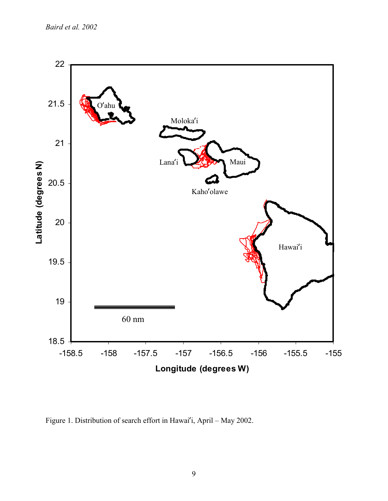*Baird et al. 2002*



Figure 1. Distribution of search effort in Hawai'i, April – May 2002.